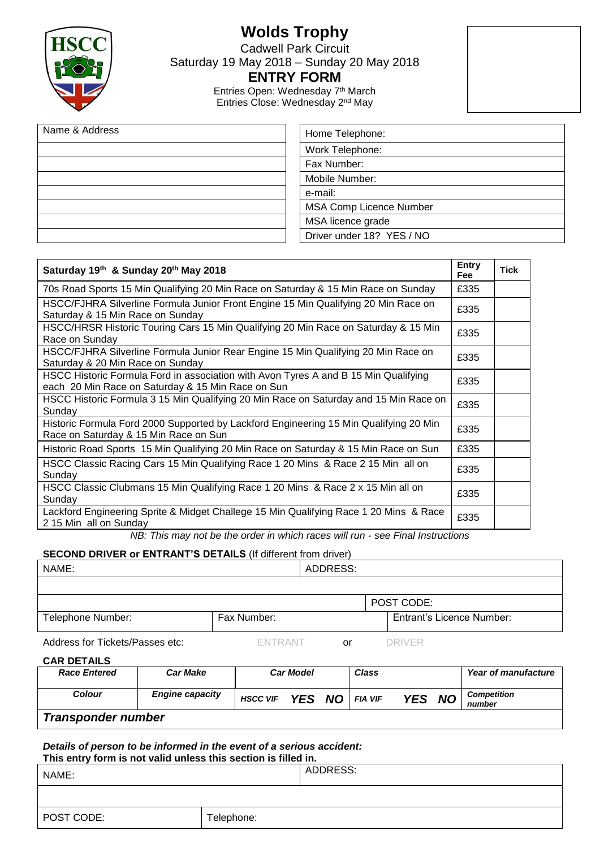

# **Wolds Trophy**

Cadwell Park Circuit

Saturday 19 May 2018 – Sunday 20 May 2018

### **ENTRY FORM**

Entries Open: Wednesday 7<sup>th</sup> March Entries Close: Wednesday 2nd May

| Name & Address | Home Telephone:                |  |  |  |  |  |  |  |
|----------------|--------------------------------|--|--|--|--|--|--|--|
|                | Work Telephone:                |  |  |  |  |  |  |  |
|                | Fax Number:                    |  |  |  |  |  |  |  |
|                | Mobile Number:                 |  |  |  |  |  |  |  |
|                | e-mail:                        |  |  |  |  |  |  |  |
|                | <b>MSA Comp Licence Number</b> |  |  |  |  |  |  |  |
|                | MSA licence grade              |  |  |  |  |  |  |  |
|                | Driver under 18? YES / NO      |  |  |  |  |  |  |  |

| Saturday 19th & Sunday 20th May 2018                                                                                                     | <b>Entry</b><br><b>Fee</b> | Tick |
|------------------------------------------------------------------------------------------------------------------------------------------|----------------------------|------|
| 70s Road Sports 15 Min Qualifying 20 Min Race on Saturday & 15 Min Race on Sunday                                                        | £335                       |      |
| HSCC/FJHRA Silverline Formula Junior Front Engine 15 Min Qualifying 20 Min Race on<br>Saturday & 15 Min Race on Sunday                   | £335                       |      |
| HSCC/HRSR Historic Touring Cars 15 Min Qualifying 20 Min Race on Saturday & 15 Min<br>Race on Sunday                                     | £335                       |      |
| HSCC/FJHRA Silverline Formula Junior Rear Engine 15 Min Qualifying 20 Min Race on<br>Saturday & 20 Min Race on Sunday                    | £335                       |      |
| HSCC Historic Formula Ford in association with Avon Tyres A and B 15 Min Qualifying<br>each 20 Min Race on Saturday & 15 Min Race on Sun | £335                       |      |
| HSCC Historic Formula 3 15 Min Qualifying 20 Min Race on Saturday and 15 Min Race on<br>Sunday                                           | £335                       |      |
| Historic Formula Ford 2000 Supported by Lackford Engineering 15 Min Qualifying 20 Min<br>Race on Saturday & 15 Min Race on Sun           | £335                       |      |
| Historic Road Sports 15 Min Qualifying 20 Min Race on Saturday & 15 Min Race on Sun                                                      | £335                       |      |
| HSCC Classic Racing Cars 15 Min Qualifying Race 1 20 Mins & Race 2 15 Min all on<br>Sunday                                               | £335                       |      |
| HSCC Classic Clubmans 15 Min Qualifying Race 1 20 Mins & Race 2 x 15 Min all on<br>Sunday                                                | £335                       |      |
| Lackford Engineering Sprite & Midget Challege 15 Min Qualifying Race 1 20 Mins & Race<br>2 15 Min all on Sunday                          | £335                       |      |

*NB: This may not be the order in which races will run - see Final Instructions*

### **SECOND DRIVER or ENTRANT'S DETAILS** (If different from driver)

| NAME:                           |                | ADDRESS: |                                  |  |
|---------------------------------|----------------|----------|----------------------------------|--|
|                                 |                |          |                                  |  |
|                                 |                |          | POST CODE:                       |  |
| Telephone Number:               | Fax Number:    |          | <b>Entrant's Licence Number:</b> |  |
| Address for Tickets/Passes etc: | <b>FNTRANT</b> | or       | DRIVER                           |  |

|  | <b>CAR DETAILS</b> |  |
|--|--------------------|--|
|--|--------------------|--|

| _ _                       |                        |                 |                  |                |        |                            |                              |  |
|---------------------------|------------------------|-----------------|------------------|----------------|--------|----------------------------|------------------------------|--|
| <b>Race Entered</b>       | Car Make               |                 | <b>Car Model</b> | <b>Class</b>   |        | <b>Year of manufacture</b> |                              |  |
| <b>Colour</b>             | <b>Engine capacity</b> | <b>HSCC VIF</b> | YES NO           | <b>FIA VIF</b> | YES NO |                            | <b>Competition</b><br>number |  |
| <b>Transponder number</b> |                        |                 |                  |                |        |                            |                              |  |

*Details of person to be informed in the event of a serious accident:*  **This entry form is not valid unless this section is filled in.**

| NAME:      |            | ADDRESS: |  |  |  |  |  |  |
|------------|------------|----------|--|--|--|--|--|--|
|            |            |          |  |  |  |  |  |  |
| POST CODE: | Telephone: |          |  |  |  |  |  |  |